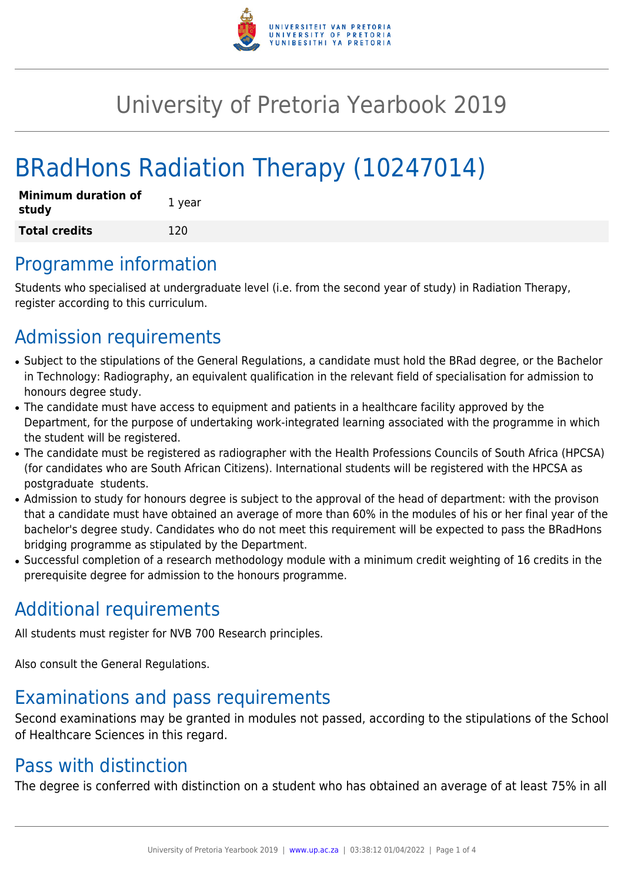

# University of Pretoria Yearbook 2019

# BRadHons Radiation Therapy (10247014)

| <b>Minimum duration of</b><br>study | 1 year |
|-------------------------------------|--------|
| <b>Total credits</b>                | 120    |

## Programme information

Students who specialised at undergraduate level (i.e. from the second year of study) in Radiation Therapy, register according to this curriculum.

## Admission requirements

- Subject to the stipulations of the General Regulations, a candidate must hold the BRad degree, or the Bachelor in Technology: Radiography, an equivalent qualification in the relevant field of specialisation for admission to honours degree study.
- The candidate must have access to equipment and patients in a healthcare facility approved by the Department, for the purpose of undertaking work-integrated learning associated with the programme in which the student will be registered.
- The candidate must be registered as radiographer with the Health Professions Councils of South Africa (HPCSA) (for candidates who are South African Citizens). International students will be registered with the HPCSA as postgraduate students.
- Admission to study for honours degree is subject to the approval of the head of department: with the provison that a candidate must have obtained an average of more than 60% in the modules of his or her final year of the bachelor's degree study. Candidates who do not meet this requirement will be expected to pass the BRadHons bridging programme as stipulated by the Department.
- Successful completion of a research methodology module with a minimum credit weighting of 16 credits in the prerequisite degree for admission to the honours programme.

## Additional requirements

All students must register for NVB 700 Research principles.

Also consult the General Regulations.

## Examinations and pass requirements

Second examinations may be granted in modules not passed, according to the stipulations of the School of Healthcare Sciences in this regard.

## Pass with distinction

The degree is conferred with distinction on a student who has obtained an average of at least 75% in all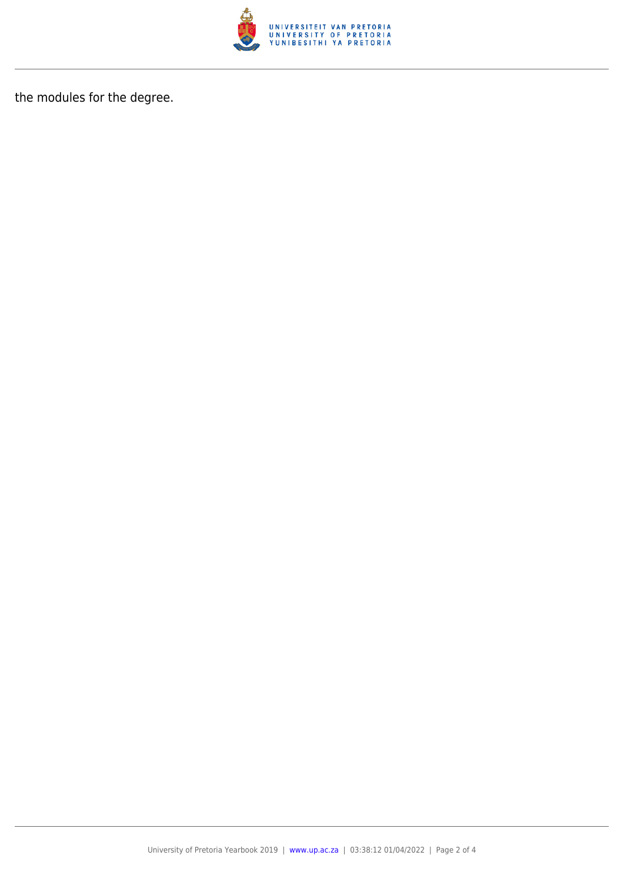

the modules for the degree.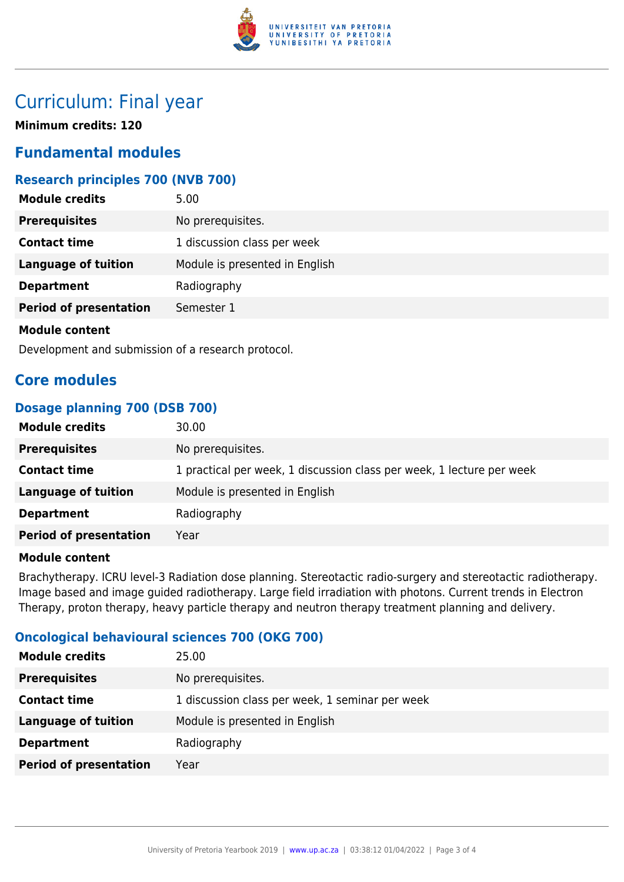

## Curriculum: Final year

**Minimum credits: 120**

## **Fundamental modules**

## **Research principles 700 (NVB 700)**

| <b>Module credits</b>         | 5.00                           |
|-------------------------------|--------------------------------|
| <b>Prerequisites</b>          | No prerequisites.              |
| <b>Contact time</b>           | 1 discussion class per week    |
| <b>Language of tuition</b>    | Module is presented in English |
| <b>Department</b>             | Radiography                    |
| <b>Period of presentation</b> | Semester 1                     |
| <b>Module content</b>         |                                |

Development and submission of a research protocol.

## **Core modules**

## **Dosage planning 700 (DSB 700)**

| 30.00                                                                 |
|-----------------------------------------------------------------------|
| No prerequisites.                                                     |
| 1 practical per week, 1 discussion class per week, 1 lecture per week |
| Module is presented in English                                        |
| Radiography                                                           |
| Year                                                                  |
|                                                                       |

### **Module content**

Brachytherapy. ICRU level-3 Radiation dose planning. Stereotactic radio-surgery and stereotactic radiotherapy. Image based and image guided radiotherapy. Large field irradiation with photons. Current trends in Electron Therapy, proton therapy, heavy particle therapy and neutron therapy treatment planning and delivery.

### **Oncological behavioural sciences 700 (OKG 700)**

| 25.00                                           |
|-------------------------------------------------|
| No prerequisites.                               |
| 1 discussion class per week, 1 seminar per week |
| Module is presented in English                  |
| Radiography                                     |
| Year                                            |
|                                                 |